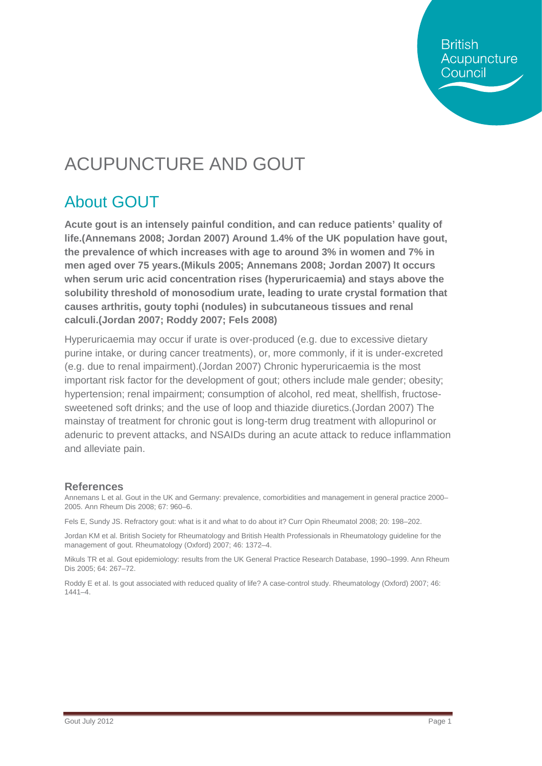**British** Acupuncture Council

# ACUPUNCTURE AND GOUT

### About GOUT

**Acute gout is an intensely painful condition, and can reduce patients' quality of life.(Annemans 2008; Jordan 2007) Around 1.4% of the UK population have gout, the prevalence of which increases with age to around 3% in women and 7% in men aged over 75 years.(Mikuls 2005; Annemans 2008; Jordan 2007) It occurs when serum uric acid concentration rises (hyperuricaemia) and stays above the solubility threshold of monosodium urate, leading to urate crystal formation that causes arthritis, gouty tophi (nodules) in subcutaneous tissues and renal calculi.(Jordan 2007; Roddy 2007; Fels 2008)** 

Hyperuricaemia may occur if urate is over-produced (e.g. due to excessive dietary purine intake, or during cancer treatments), or, more commonly, if it is under-excreted (e.g. due to renal impairment).(Jordan 2007) Chronic hyperuricaemia is the most important risk factor for the development of gout; others include male gender; obesity; hypertension; renal impairment; consumption of alcohol, red meat, shellfish, fructosesweetened soft drinks; and the use of loop and thiazide diuretics.(Jordan 2007) The mainstay of treatment for chronic gout is long-term drug treatment with allopurinol or adenuric to prevent attacks, and NSAIDs during an acute attack to reduce inflammation and alleviate pain.

#### **References**

Annemans L et al. Gout in the UK and Germany: prevalence, comorbidities and management in general practice 2000– 2005. Ann Rheum Dis 2008; 67: 960–6.

Fels E, Sundy JS. Refractory gout: what is it and what to do about it? Curr Opin Rheumatol 2008; 20: 198–202.

Jordan KM et al. British Society for Rheumatology and British Health Professionals in Rheumatology guideline for the management of gout. Rheumatology (Oxford) 2007; 46: 1372–4.

Mikuls TR et al. Gout epidemiology: results from the UK General Practice Research Database, 1990–1999. Ann Rheum Dis 2005; 64: 267–72.

Roddy E et al. Is gout associated with reduced quality of life? A case-control study. Rheumatology (Oxford) 2007; 46: 1441–4.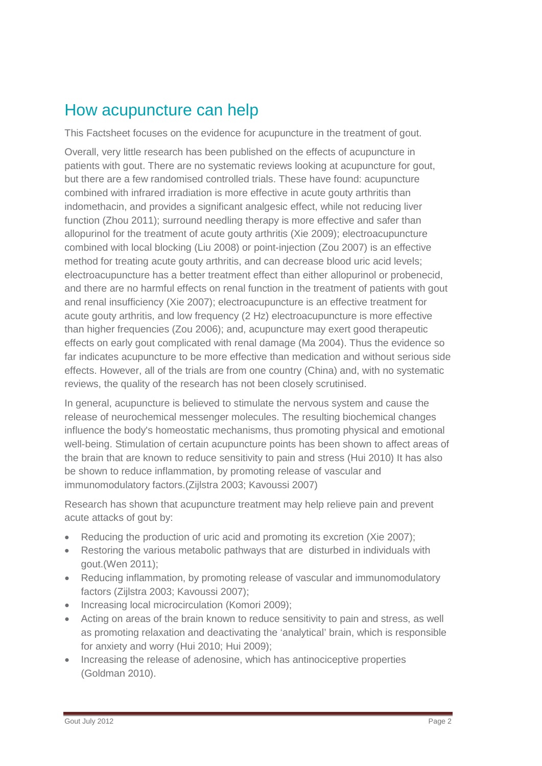### How acupuncture can help

This Factsheet focuses on the evidence for acupuncture in the treatment of gout.

Overall, very little research has been published on the effects of acupuncture in patients with gout. There are no systematic reviews looking at acupuncture for gout, but there are a few randomised controlled trials. These have found: acupuncture combined with infrared irradiation is more effective in acute gouty arthritis than indomethacin, and provides a significant analgesic effect, while not reducing liver function (Zhou 2011); surround needling therapy is more effective and safer than allopurinol for the treatment of acute gouty arthritis (Xie 2009); electroacupuncture combined with local blocking (Liu 2008) or point-injection (Zou 2007) is an effective method for treating acute gouty arthritis, and can decrease blood uric acid levels; electroacupuncture has a better treatment effect than either allopurinol or probenecid, and there are no harmful effects on renal function in the treatment of patients with gout and renal insufficiency (Xie 2007); electroacupuncture is an effective treatment for acute gouty arthritis, and low frequency (2 Hz) electroacupuncture is more effective than higher frequencies (Zou 2006); and, acupuncture may exert good therapeutic effects on early gout complicated with renal damage (Ma 2004). Thus the evidence so far indicates acupuncture to be more effective than medication and without serious side effects. However, all of the trials are from one country (China) and, with no systematic reviews, the quality of the research has not been closely scrutinised.

In general, acupuncture is believed to stimulate the nervous system and cause the release of neurochemical messenger molecules. The resulting biochemical changes influence the body's homeostatic mechanisms, thus promoting physical and emotional well-being. Stimulation of certain acupuncture points has been shown to affect areas of the brain that are known to reduce sensitivity to pain and stress (Hui 2010) It has also be shown to reduce inflammation, by promoting release of vascular and immunomodulatory factors.(Zijlstra 2003; Kavoussi 2007)

Research has shown that acupuncture treatment may help relieve pain and prevent acute attacks of gout by:

- Reducing the production of uric acid and promoting its excretion (Xie 2007);
- Restoring the various metabolic pathways that are disturbed in individuals with gout.(Wen 2011);
- Reducing inflammation, by promoting release of vascular and immunomodulatory factors (Zijlstra 2003; Kavoussi 2007);
- Increasing local microcirculation (Komori 2009):
- Acting on areas of the brain known to reduce sensitivity to pain and stress, as well as promoting relaxation and deactivating the 'analytical' brain, which is responsible for anxiety and worry (Hui 2010; Hui 2009);
- Increasing the release of adenosine, which has antinociceptive properties (Goldman 2010).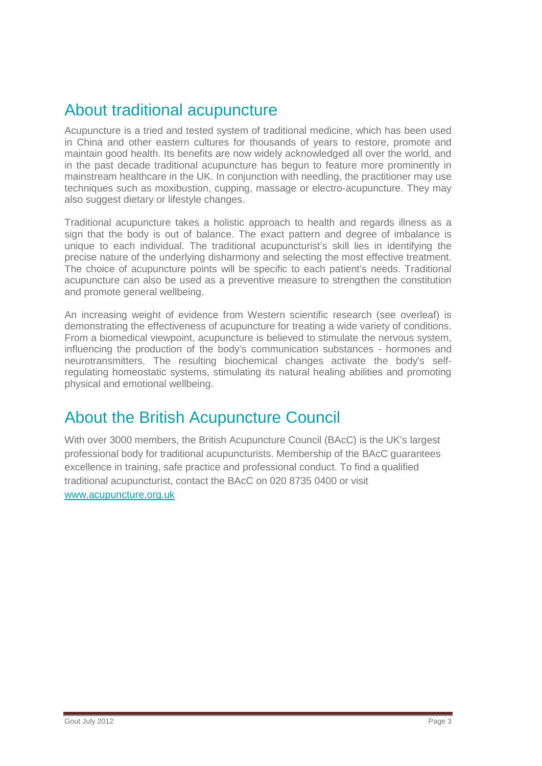### About traditional acupuncture

Acupuncture is a tried and tested system of traditional medicine, which has been used in China and other eastern cultures for thousands of years to restore, promote and maintain good health. Its benefits are now widely acknowledged all over the world, and in the past decade traditional acupuncture has begun to feature more prominently in mainstream healthcare in the UK. In conjunction with needling, the practitioner may use techniques such as moxibustion, cupping, massage or electro-acupuncture. They may also suggest dietary or lifestyle changes.

Traditional acupuncture takes a holistic approach to health and regards illness as a sign that the body is out of balance. The exact pattern and degree of imbalance is unique to each individual. The traditional acupuncturist's skill lies in identifying the precise nature of the underlying disharmony and selecting the most effective treatment. The choice of acupuncture points will be specific to each patient's needs. Traditional acupuncture can also be used as a preventive measure to strengthen the constitution and promote general wellbeing.

An increasing weight of evidence from Western scientific research (see overleaf) is demonstrating the effectiveness of acupuncture for treating a wide variety of conditions. From a biomedical viewpoint, acupuncture is believed to stimulate the nervous system, influencing the production of the body's communication substances - hormones and neurotransmitters. The resulting biochemical changes activate the body's selfregulating homeostatic systems, stimulating its natural healing abilities and promoting physical and emotional wellbeing.

### About the British Acupuncture Council

With over 3000 members, the British Acupuncture Council (BAcC) is the UK's largest professional body for traditional acupuncturists. Membership of the BAcC guarantees excellence in training, safe practice and professional conduct. To find a qualified traditional acupuncturist, contact the BAcC on 020 8735 0400 or visit [www.acupuncture.org.uk](http://www.acupuncture.org.uk/)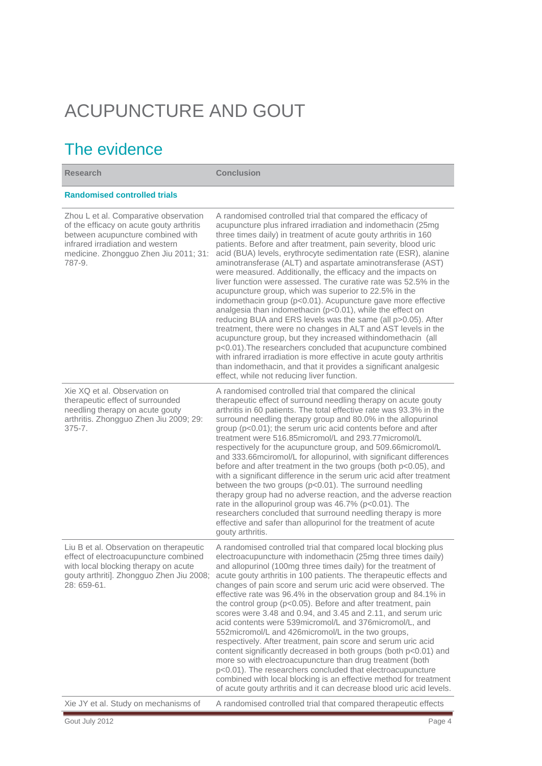# ACUPUNCTURE AND GOUT

## The evidence

| <b>Research</b>                                                                                                                                                                                               | <b>Conclusion</b>                                                                                                                                                                                                                                                                                                                                                                                                                                                                                                                                                                                                                                                                                                                                                                                                                                                                                                                                                                                                                                                                                                                                                                       |
|---------------------------------------------------------------------------------------------------------------------------------------------------------------------------------------------------------------|-----------------------------------------------------------------------------------------------------------------------------------------------------------------------------------------------------------------------------------------------------------------------------------------------------------------------------------------------------------------------------------------------------------------------------------------------------------------------------------------------------------------------------------------------------------------------------------------------------------------------------------------------------------------------------------------------------------------------------------------------------------------------------------------------------------------------------------------------------------------------------------------------------------------------------------------------------------------------------------------------------------------------------------------------------------------------------------------------------------------------------------------------------------------------------------------|
| <b>Randomised controlled trials</b>                                                                                                                                                                           |                                                                                                                                                                                                                                                                                                                                                                                                                                                                                                                                                                                                                                                                                                                                                                                                                                                                                                                                                                                                                                                                                                                                                                                         |
| Zhou L et al. Comparative observation<br>of the efficacy on acute gouty arthritis<br>between acupuncture combined with<br>infrared irradiation and western<br>medicine. Zhongguo Zhen Jiu 2011; 31:<br>787-9. | A randomised controlled trial that compared the efficacy of<br>acupuncture plus infrared irradiation and indomethacin (25mg<br>three times daily) in treatment of acute gouty arthritis in 160<br>patients. Before and after treatment, pain severity, blood uric<br>acid (BUA) levels, erythrocyte sedimentation rate (ESR), alanine<br>aminotransferase (ALT) and aspartate aminotransferase (AST)<br>were measured. Additionally, the efficacy and the impacts on<br>liver function were assessed. The curative rate was 52.5% in the<br>acupuncture group, which was superior to 22.5% in the<br>indomethacin group (p<0.01). Acupuncture gave more effective<br>analgesia than indomethacin (p<0.01), while the effect on<br>reducing BUA and ERS levels was the same (all p>0.05). After<br>treatment, there were no changes in ALT and AST levels in the<br>acupuncture group, but they increased withindomethacin (all<br>p<0.01). The researchers concluded that acupuncture combined<br>with infrared irradiation is more effective in acute gouty arthritis<br>than indomethacin, and that it provides a significant analgesic<br>effect, while not reducing liver function. |
| Xie XQ et al. Observation on<br>therapeutic effect of surrounded<br>needling therapy on acute gouty<br>arthritis. Zhongguo Zhen Jiu 2009; 29:<br>$375 - 7.$                                                   | A randomised controlled trial that compared the clinical<br>therapeutic effect of surround needling therapy on acute gouty<br>arthritis in 60 patients. The total effective rate was 93.3% in the<br>surround needling therapy group and 80.0% in the allopurinol<br>group (p<0.01); the serum uric acid contents before and after<br>treatment were 516.85micromol/L and 293.77micromol/L<br>respectively for the acupuncture group, and 509.66micromol/L<br>and 333.66mciromol/L for allopurinol, with significant differences<br>before and after treatment in the two groups (both p<0.05), and<br>with a significant difference in the serum uric acid after treatment<br>between the two groups (p<0.01). The surround needling<br>therapy group had no adverse reaction, and the adverse reaction<br>rate in the allopurinol group was 46.7% (p<0.01). The<br>researchers concluded that surround needling therapy is more<br>effective and safer than allopurinol for the treatment of acute<br>gouty arthritis.                                                                                                                                                                |
| Liu B et al. Observation on therapeutic<br>effect of electroacupuncture combined<br>with local blocking therapy on acute<br>gouty arthriti]. Zhongguo Zhen Jiu 2008;<br>28: 659-61.                           | A randomised controlled trial that compared local blocking plus<br>electroacupuncture with indomethacin (25mg three times daily)<br>and allopurinol (100mg three times daily) for the treatment of<br>acute gouty arthritis in 100 patients. The therapeutic effects and<br>changes of pain score and serum uric acid were observed. The<br>effective rate was 96.4% in the observation group and 84.1% in<br>the control group (p<0.05). Before and after treatment, pain<br>scores were 3.48 and 0.94, and 3.45 and 2.11, and serum uric<br>acid contents were 539 micromol/L and 376 micromol/L, and<br>552 micromol/L and 426 micromol/L in the two groups,<br>respectively. After treatment, pain score and serum uric acid<br>content significantly decreased in both groups (both p<0.01) and<br>more so with electroacupuncture than drug treatment (both<br>p<0.01). The researchers concluded that electroacupuncture<br>combined with local blocking is an effective method for treatment<br>of acute gouty arthritis and it can decrease blood uric acid levels.                                                                                                            |
| Xie JY et al. Study on mechanisms of                                                                                                                                                                          | A randomised controlled trial that compared therapeutic effects                                                                                                                                                                                                                                                                                                                                                                                                                                                                                                                                                                                                                                                                                                                                                                                                                                                                                                                                                                                                                                                                                                                         |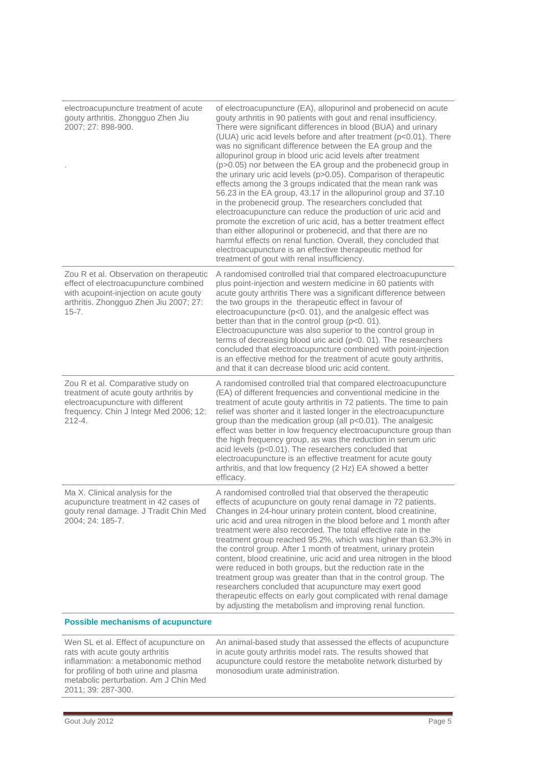| electroacupuncture treatment of acute<br>gouty arthritis. Zhongguo Zhen Jiu<br>2007; 27: 898-900.                                                                                 | of electroacupuncture (EA), allopurinol and probenecid on acute<br>gouty arthritis in 90 patients with gout and renal insufficiency.<br>There were significant differences in blood (BUA) and urinary<br>(UUA) uric acid levels before and after treatment (p<0.01). There<br>was no significant difference between the EA group and the<br>allopurinol group in blood uric acid levels after treatment<br>(p>0.05) nor between the EA group and the probenecid group in<br>the urinary uric acid levels (p>0.05). Comparison of therapeutic<br>effects among the 3 groups indicated that the mean rank was<br>56.23 in the EA group, 43.17 in the allopurinol group and 37.10<br>in the probenecid group. The researchers concluded that<br>electroacupuncture can reduce the production of uric acid and<br>promote the excretion of uric acid, has a better treatment effect<br>than either allopurinol or probenecid, and that there are no<br>harmful effects on renal function. Overall, they concluded that<br>electroacupuncture is an effective therapeutic method for<br>treatment of gout with renal insufficiency. |
|-----------------------------------------------------------------------------------------------------------------------------------------------------------------------------------|--------------------------------------------------------------------------------------------------------------------------------------------------------------------------------------------------------------------------------------------------------------------------------------------------------------------------------------------------------------------------------------------------------------------------------------------------------------------------------------------------------------------------------------------------------------------------------------------------------------------------------------------------------------------------------------------------------------------------------------------------------------------------------------------------------------------------------------------------------------------------------------------------------------------------------------------------------------------------------------------------------------------------------------------------------------------------------------------------------------------------------|
| Zou R et al. Observation on therapeutic<br>effect of electroacupuncture combined<br>with acupoint-injection on acute gouty<br>arthritis. Zhongguo Zhen Jiu 2007; 27:<br>$15 - 7.$ | A randomised controlled trial that compared electroacupuncture<br>plus point-injection and western medicine in 60 patients with<br>acute gouty arthritis There was a significant difference between<br>the two groups in the therapeutic effect in favour of<br>electroacupuncture (p<0. 01), and the analgesic effect was<br>better than that in the control group (p<0. 01).<br>Electroacupuncture was also superior to the control group in<br>terms of decreasing blood uric acid (p<0. 01). The researchers<br>concluded that electroacupuncture combined with point-injection<br>is an effective method for the treatment of acute gouty arthritis,<br>and that it can decrease blood uric acid content.                                                                                                                                                                                                                                                                                                                                                                                                                 |
| Zou R et al. Comparative study on<br>treatment of acute gouty arthritis by<br>electroacupuncture with different<br>frequency. Chin J Integr Med 2006; 12:<br>$212 - 4.$           | A randomised controlled trial that compared electroacupuncture<br>(EA) of different frequencies and conventional medicine in the<br>treatment of acute gouty arthritis in 72 patients. The time to pain<br>relief was shorter and it lasted longer in the electroacupuncture<br>group than the medication group (all p<0.01). The analgesic<br>effect was better in low frequency electroacupuncture group than<br>the high frequency group, as was the reduction in serum uric<br>acid levels (p<0.01). The researchers concluded that<br>electroacupuncture is an effective treatment for acute gouty<br>arthritis, and that low frequency (2 Hz) EA showed a better<br>efficacy.                                                                                                                                                                                                                                                                                                                                                                                                                                            |
| Ma X. Clinical analysis for the<br>acupuncture treatment in 42 cases of<br>gouty renal damage. J Tradit Chin Med<br>2004; 24: 185-7.                                              | A randomised controlled trial that observed the therapeutic<br>effects of acupuncture on gouty renal damage in 72 patients.<br>Changes in 24-hour urinary protein content, blood creatinine,<br>uric acid and urea nitrogen in the blood before and 1 month after<br>treatment were also recorded. The total effective rate in the<br>treatment group reached 95.2%, which was higher than 63.3% in<br>the control group. After 1 month of treatment, urinary protein<br>content, blood creatinine, uric acid and urea nitrogen in the blood<br>were reduced in both groups, but the reduction rate in the<br>treatment group was greater than that in the control group. The<br>researchers concluded that acupuncture may exert good<br>therapeutic effects on early gout complicated with renal damage<br>by adjusting the metabolism and improving renal function.                                                                                                                                                                                                                                                         |

#### **Possible mechanisms of acupuncture**

Wen SL et al. Effect of acupuncture on rats with acute gouty arthritis inflammation: a metabonomic method for profiling of both urine and plasma metabolic perturbation. Am J Chin Med 2011; 39: 287-300.

An animal-based study that assessed the effects of acupuncture in acute gouty arthritis model rats. The results showed that acupuncture could restore the metabolite network disturbed by monosodium urate administration.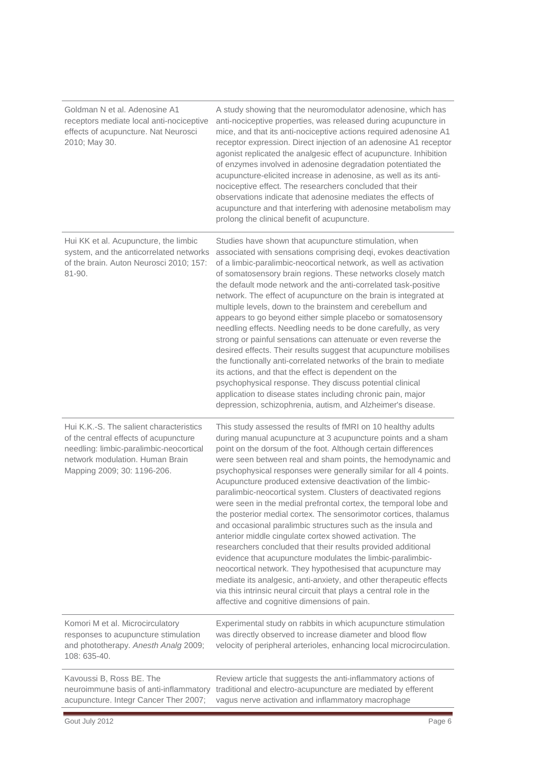| Goldman N et al. Adenosine A1<br>receptors mediate local anti-nociceptive<br>effects of acupuncture. Nat Neurosci<br>2010; May 30.                                                            | A study showing that the neuromodulator adenosine, which has<br>anti-nociceptive properties, was released during acupuncture in<br>mice, and that its anti-nociceptive actions required adenosine A1<br>receptor expression. Direct injection of an adenosine A1 receptor<br>agonist replicated the analgesic effect of acupuncture. Inhibition<br>of enzymes involved in adenosine degradation potentiated the<br>acupuncture-elicited increase in adenosine, as well as its anti-<br>nociceptive effect. The researchers concluded that their<br>observations indicate that adenosine mediates the effects of<br>acupuncture and that interfering with adenosine metabolism may<br>prolong the clinical benefit of acupuncture.                                                                                                                                                                                                                                                                                                                                                                                           |
|-----------------------------------------------------------------------------------------------------------------------------------------------------------------------------------------------|-----------------------------------------------------------------------------------------------------------------------------------------------------------------------------------------------------------------------------------------------------------------------------------------------------------------------------------------------------------------------------------------------------------------------------------------------------------------------------------------------------------------------------------------------------------------------------------------------------------------------------------------------------------------------------------------------------------------------------------------------------------------------------------------------------------------------------------------------------------------------------------------------------------------------------------------------------------------------------------------------------------------------------------------------------------------------------------------------------------------------------|
| Hui KK et al. Acupuncture, the limbic<br>system, and the anticorrelated networks<br>of the brain. Auton Neurosci 2010; 157:<br>81-90.                                                         | Studies have shown that acupuncture stimulation, when<br>associated with sensations comprising deqi, evokes deactivation<br>of a limbic-paralimbic-neocortical network, as well as activation<br>of somatosensory brain regions. These networks closely match<br>the default mode network and the anti-correlated task-positive<br>network. The effect of acupuncture on the brain is integrated at<br>multiple levels, down to the brainstem and cerebellum and<br>appears to go beyond either simple placebo or somatosensory<br>needling effects. Needling needs to be done carefully, as very<br>strong or painful sensations can attenuate or even reverse the<br>desired effects. Their results suggest that acupuncture mobilises<br>the functionally anti-correlated networks of the brain to mediate<br>its actions, and that the effect is dependent on the<br>psychophysical response. They discuss potential clinical<br>application to disease states including chronic pain, major<br>depression, schizophrenia, autism, and Alzheimer's disease.                                                             |
| Hui K.K.-S. The salient characteristics<br>of the central effects of acupuncture<br>needling: limbic-paralimbic-neocortical<br>network modulation. Human Brain<br>Mapping 2009; 30: 1196-206. | This study assessed the results of fMRI on 10 healthy adults<br>during manual acupuncture at 3 acupuncture points and a sham<br>point on the dorsum of the foot. Although certain differences<br>were seen between real and sham points, the hemodynamic and<br>psychophysical responses were generally similar for all 4 points.<br>Acupuncture produced extensive deactivation of the limbic-<br>paralimbic-neocortical system. Clusters of deactivated regions<br>were seen in the medial prefrontal cortex, the temporal lobe and<br>the posterior medial cortex. The sensorimotor cortices, thalamus<br>and occasional paralimbic structures such as the insula and<br>anterior middle cingulate cortex showed activation. The<br>researchers concluded that their results provided additional<br>evidence that acupuncture modulates the limbic-paralimbic-<br>neocortical network. They hypothesised that acupuncture may<br>mediate its analgesic, anti-anxiety, and other therapeutic effects<br>via this intrinsic neural circuit that plays a central role in the<br>affective and cognitive dimensions of pain. |
| Komori M et al. Microcirculatory<br>responses to acupuncture stimulation<br>and phototherapy. Anesth Analg 2009;<br>108: 635-40.                                                              | Experimental study on rabbits in which acupuncture stimulation<br>was directly observed to increase diameter and blood flow<br>velocity of peripheral arterioles, enhancing local microcirculation.                                                                                                                                                                                                                                                                                                                                                                                                                                                                                                                                                                                                                                                                                                                                                                                                                                                                                                                         |
| Kavoussi B, Ross BE. The                                                                                                                                                                      | Review article that suggests the anti-inflammatory actions of                                                                                                                                                                                                                                                                                                                                                                                                                                                                                                                                                                                                                                                                                                                                                                                                                                                                                                                                                                                                                                                               |

neuroimmune basis of anti-inflammatory traditional and electro-acupuncture are mediated by efferent acupuncture. Integr Cancer Ther 2007; vagus nerve activation and inflammatory macrophage